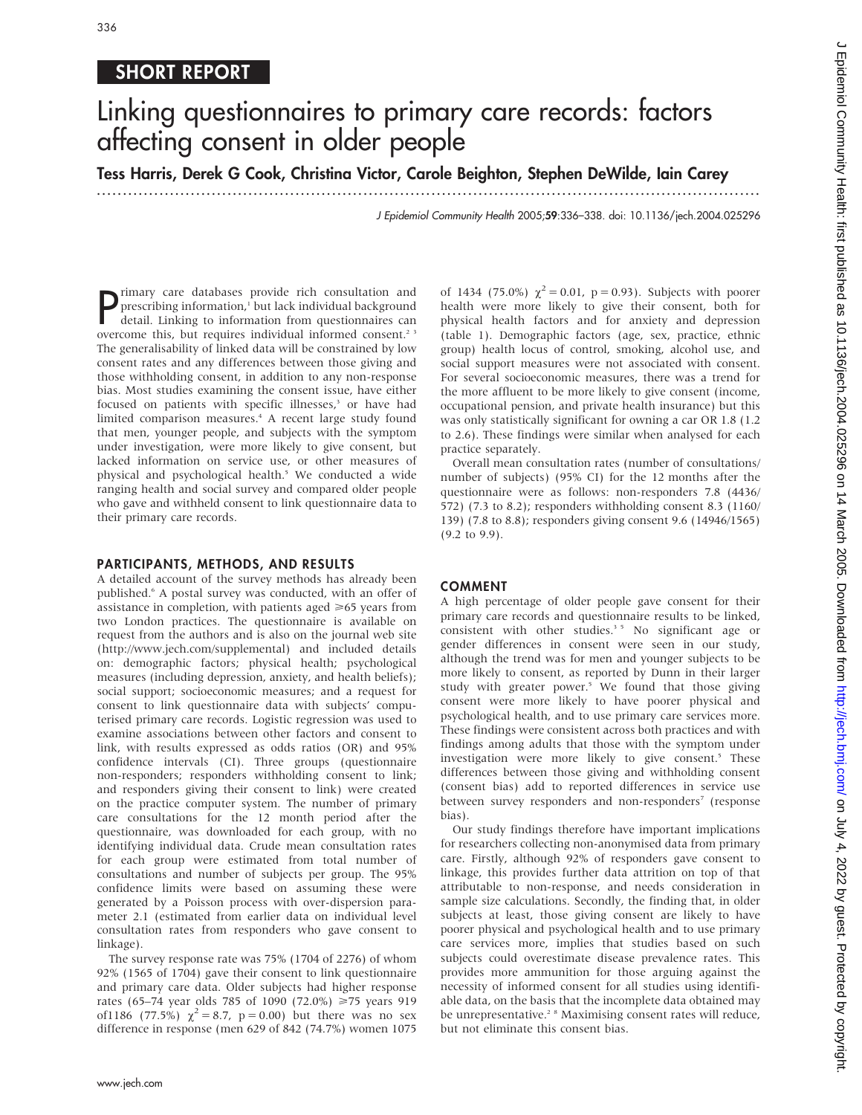## SHORT REPORT

# Linking questionnaires to primary care records: factors affecting consent in older people

Tess Harris, Derek G Cook, Christina Victor, Carole Beighton, Stephen DeWilde, Iain Carey

...............................................................................................................................

J Epidemiol Community Health 2005;59:336–338. doi: 10.1136/jech.2004.025296

**P** rimary care databases provide rich consultation and prescribing information,<sup>1</sup> but lack individual background detail. Linking to information from questionnaires can prescribing information,<sup>1</sup> but lack individual background detail. Linking to information from questionnaires can overcome this, but requires individual informed consent.<sup>23</sup> The generalisability of linked data will be constrained by low consent rates and any differences between those giving and those withholding consent, in addition to any non-response bias. Most studies examining the consent issue, have either focused on patients with specific illnesses,<sup>3</sup> or have had limited comparison measures.<sup>4</sup> A recent large study found that men, younger people, and subjects with the symptom under investigation, were more likely to give consent, but lacked information on service use, or other measures of physical and psychological health.<sup>5</sup> We conducted a wide ranging health and social survey and compared older people who gave and withheld consent to link questionnaire data to their primary care records.

#### PARTICIPANTS, METHODS, AND RESULTS

A detailed account of the survey methods has already been published.<sup>6</sup> A postal survey was conducted, with an offer of assistance in completion, with patients aged  $\geq 65$  years from two London practices. The questionnaire is available on request from the authors and is also on the journal web site (http://www.jech.com/supplemental) and included details on: demographic factors; physical health; psychological measures (including depression, anxiety, and health beliefs); social support; socioeconomic measures; and a request for consent to link questionnaire data with subjects' computerised primary care records. Logistic regression was used to examine associations between other factors and consent to link, with results expressed as odds ratios (OR) and 95% confidence intervals (CI). Three groups (questionnaire non-responders; responders withholding consent to link; and responders giving their consent to link) were created on the practice computer system. The number of primary care consultations for the 12 month period after the questionnaire, was downloaded for each group, with no identifying individual data. Crude mean consultation rates for each group were estimated from total number of consultations and number of subjects per group. The 95% confidence limits were based on assuming these were generated by a Poisson process with over-dispersion parameter 2.1 (estimated from earlier data on individual level consultation rates from responders who gave consent to linkage).

The survey response rate was 75% (1704 of 2276) of whom 92% (1565 of 1704) gave their consent to link questionnaire and primary care data. Older subjects had higher response rates (65–74 year olds 785 of 1090 (72.0%) >75 years 919 of1186 (77.5%)  $\chi^2 = 8.7$ , p = 0.00) but there was no sex difference in response (men 629 of 842 (74.7%) women 1075

of 1434 (75.0%)  $\chi^2 = 0.01$ , p = 0.93). Subjects with poorer health were more likely to give their consent, both for physical health factors and for anxiety and depression (table 1). Demographic factors (age, sex, practice, ethnic group) health locus of control, smoking, alcohol use, and social support measures were not associated with consent. For several socioeconomic measures, there was a trend for the more affluent to be more likely to give consent (income, occupational pension, and private health insurance) but this was only statistically significant for owning a car OR 1.8 (1.2 to 2.6). These findings were similar when analysed for each practice separately.

Overall mean consultation rates (number of consultations/ number of subjects) (95% CI) for the 12 months after the questionnaire were as follows: non-responders 7.8 (4436/ 572) (7.3 to 8.2); responders withholding consent 8.3 (1160/ 139) (7.8 to 8.8); responders giving consent 9.6 (14946/1565) (9.2 to 9.9).

#### COMMENT

A high percentage of older people gave consent for their primary care records and questionnaire results to be linked, consistent with other studies.<sup>35</sup> No significant age or gender differences in consent were seen in our study, although the trend was for men and younger subjects to be more likely to consent, as reported by Dunn in their larger study with greater power.<sup>5</sup> We found that those giving consent were more likely to have poorer physical and psychological health, and to use primary care services more. These findings were consistent across both practices and with findings among adults that those with the symptom under investigation were more likely to give consent.<sup>5</sup> These differences between those giving and withholding consent (consent bias) add to reported differences in service use between survey responders and non-responders<sup>7</sup> (response bias).

Our study findings therefore have important implications for researchers collecting non-anonymised data from primary care. Firstly, although 92% of responders gave consent to linkage, this provides further data attrition on top of that attributable to non-response, and needs consideration in sample size calculations. Secondly, the finding that, in older subjects at least, those giving consent are likely to have poorer physical and psychological health and to use primary care services more, implies that studies based on such subjects could overestimate disease prevalence rates. This provides more ammunition for those arguing against the necessity of informed consent for all studies using identifiable data, on the basis that the incomplete data obtained may be unrepresentative.<sup>2 8</sup> Maximising consent rates will reduce, but not eliminate this consent bias.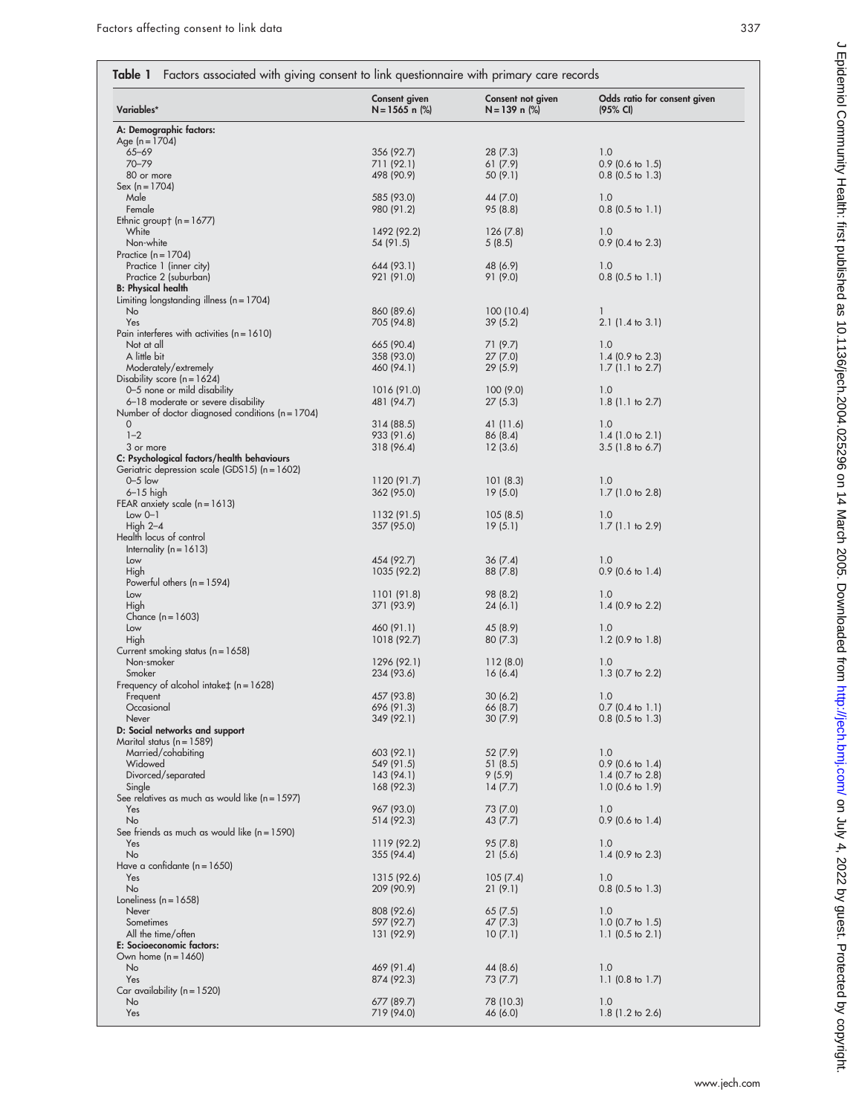| Variables*                                                   | Consent given<br>$N = 1565$ n $(\%)$ | Consent not given<br>N=139 n (%) | Odds ratio for consent given<br>(95% CI) |
|--------------------------------------------------------------|--------------------------------------|----------------------------------|------------------------------------------|
| A: Demographic factors:                                      |                                      |                                  |                                          |
| Age (n = 1704)                                               |                                      |                                  |                                          |
| $65 - 69$<br>$70 - 79$                                       | 356 (92.7)<br>711 (92.1)             | 28 (7.3)<br>61(7.9)              | 1.0<br>$0.9$ (0.6 to 1.5)                |
| 80 or more                                                   | 498 (90.9)                           | 50 (9.1)                         | $0.8$ (0.5 to 1.3)                       |
| $Sex (n = 1704)$                                             |                                      |                                  |                                          |
| Male                                                         | 585 (93.0)                           | 44 (7.0)                         | 1.0                                      |
| Female                                                       | 980 (91.2)                           | 95 (8.8)                         | $0.8$ (0.5 to 1.1)                       |
| Ethnic group† $(n = 1677)$                                   |                                      |                                  |                                          |
| White<br>Non-white                                           | 1492 (92.2)<br>54 (91.5)             | 126(7.8)<br>5(8.5)               | 1.0<br>$0.9$ (0.4 to 2.3)                |
| Practice $(n = 1704)$                                        |                                      |                                  |                                          |
| Practice 1 (inner city)                                      | 644 (93.1)                           | 48 (6.9)                         | 1.0                                      |
| Practice 2 (suburban)                                        | 921 (91.0)                           | 91 (9.0)                         | $0.8$ (0.5 to 1.1)                       |
| <b>B: Physical health</b>                                    |                                      |                                  |                                          |
| Limiting longstanding illness ( $n = 1704$ )<br>No           | 860 (89.6)                           | 100(10.4)                        | 1                                        |
| Yes                                                          | 705 (94.8)                           | 39 (5.2)                         | $2.1$ (1.4 to 3.1)                       |
| Pain interferes with activities $(n = 1610)$                 |                                      |                                  |                                          |
| Not at all                                                   | 665 (90.4)                           | 71 (9.7)                         | 1.0                                      |
| A little bit                                                 | 358 (93.0)                           | 27(7.0)                          | 1.4 $(0.9$ to 2.3)                       |
| Moderately/extremely                                         | 460 (94.1)                           | 29(5.9)                          | $1.7$ (1.1 to 2.7)                       |
| Disability score $(n = 1624)$<br>0-5 none or mild disability | 1016 (91.0)                          | 100 (9.0)                        | 1.0                                      |
| 6-18 moderate or severe disability                           | 481 (94.7)                           | 27 (5.3)                         | $1.8$ (1.1 to 2.7)                       |
| Number of doctor diagnosed conditions ( $n = 1704$ )         |                                      |                                  |                                          |
| 0                                                            | 314 (88.5)                           | 41 (11.6)                        | 1.0                                      |
| $1 - 2$                                                      | 933 (91.6)                           | 86 (8.4)                         | $1.4$ (1.0 to 2.1)                       |
| 3 or more                                                    | 318 (96.4)                           | 12(3.6)                          | $3.5$ (1.8 to 6.7)                       |
| C: Psychological factors/health behaviours                   |                                      |                                  |                                          |
| Geriatric depression scale (GDS15) (n = 1602)<br>$0 - 5$ low | 1120 (91.7)                          | 101(8.3)                         | 1.0                                      |
| $6-15$ high                                                  | 362 (95.0)                           | 19(5.0)                          | $1.7$ (1.0 to 2.8)                       |
| FEAR anxiety scale $(n = 1613)$                              |                                      |                                  |                                          |
| $Low O-1$                                                    | 1132 (91.5)                          | 105(8.5)                         | 1.0                                      |
| High $2-4$                                                   | 357 (95.0)                           | 19(5.1)                          | $1.7(1.1 \text{ to } 2.9)$               |
| Health locus of control                                      |                                      |                                  |                                          |
| Internality ( $n = 1613$ )                                   | 454 (92.7)                           |                                  | 1.0                                      |
| Low<br>High                                                  | 1035 (92.2)                          | 36 (7.4)<br>88 (7.8)             | $0.9$ (0.6 to 1.4)                       |
| Powerful others $(n = 1594)$                                 |                                      |                                  |                                          |
| Low                                                          | 1101 (91.8)                          | 98 (8.2)                         | 1.0                                      |
| High                                                         | 371 (93.9)                           | 24 (6.1)                         | 1.4 $(0.9$ to 2.2)                       |
| Chance $(n = 1603)$                                          |                                      |                                  |                                          |
| Low                                                          | 460 (91.1)                           | 45 (8.9)                         | 1.0                                      |
| High<br>Current smoking status ( $n = 1658$ )                | 1018 (92.7)                          | 80(7.3)                          | $1.2$ (0.9 to 1.8)                       |
| Non-smoker                                                   | 1296 (92.1)                          | 112(8.0)                         | 1.0                                      |
| Smoker                                                       | 234 (93.6)                           | 16(6.4)                          | $1.3$ (0.7 to 2.2)                       |
| Frequency of alcohol intake $\ddagger$ (n = 1628)            |                                      |                                  |                                          |
| Frequent                                                     | 457 (93.8)                           | 30(6.2)                          | 1.0                                      |
| Occasional                                                   | 696 (91.3)                           | 66 (8.7)                         | $0.7$ (0.4 to 1.1)                       |
| Never<br>D: Social networks and support                      | 349 (92.1)                           | 30 (7.9)                         | $0.8$ (0.5 to 1.3)                       |
| Marital status (n = 1589)                                    |                                      |                                  |                                          |
| Married/cohabiting                                           | 603 (92.1)                           | 52 (7.9)                         | 1.0                                      |
| Widowed                                                      | 549 (91.5)                           | 51 (8.5)                         | $0.9$ (0.6 to 1.4)                       |
| Divorced/separated                                           | 143 (94.1)                           | 9(5.9)                           | $1.4$ (0.7 to 2.8)                       |
| Single                                                       | 168 (92.3)                           | 14(7.7)                          | $1.0$ (0.6 to 1.9)                       |
| See relatives as much as would like (n = 1597)<br>Yes        | 967 (93.0)                           | 73 (7.0)                         | 1.0                                      |
| No                                                           | 514 (92.3)                           | 43 (7.7)                         | $0.9$ (0.6 to 1.4)                       |
| See friends as much as would like $(n = 1590)$               |                                      |                                  |                                          |
| Yes                                                          | 1119 (92.2)                          | 95 (7.8)                         | 1.0                                      |
| No                                                           | 355 (94.4)                           | 21 (5.6)                         | 1.4 $(0.9 \text{ to } 2.3)$              |
| Have a confidante ( $n = 1650$ )                             |                                      |                                  |                                          |
| Yes<br>No                                                    | 1315 (92.6)<br>209 (90.9)            | 105(7.4)<br>21 (9.1)             | 1.0<br>$0.8$ (0.5 to 1.3)                |
| Loneliness ( $n = 1658$ )                                    |                                      |                                  |                                          |
| Never                                                        | 808 (92.6)                           | 65(7.5)                          | 1.0                                      |
| Sometimes                                                    | 597 (92.7)                           | 47 (7.3)                         | 1.0 $(0.7 \text{ to } 1.5)$              |
| All the time/often                                           | 131 (92.9)                           | 10(7.1)                          | 1.1 $(0.5 \text{ to } 2.1)$              |
| E: Socioeconomic factors:                                    |                                      |                                  |                                          |
| Own home $(n = 1460)$                                        |                                      |                                  |                                          |
| No<br>Yes                                                    | 469 (91.4)                           | 44 (8.6)                         | 1.0                                      |
| Car availability ( $n = 1520$ )                              | 874 (92.3)                           | 73 (7.7)                         | 1.1 $(0.8 \text{ to } 1.7)$              |
| No                                                           | 677 (89.7)                           | 78 (10.3)                        | 1.0                                      |
| Yes                                                          | 719 (94.0)                           | 46 (6.0)                         | 1.8 (1.2 to 2.6)                         |